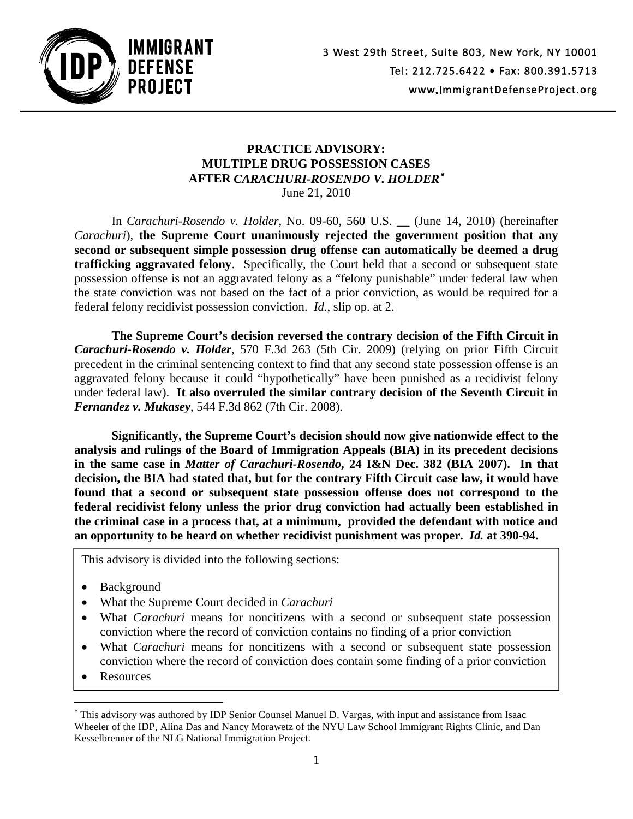

## **PRACTICE ADVISORY: MULTIPLE DRUG POSSESSION CASES AFTER** *CARACHURI-ROSENDO V. HOLDER* June 21, 2010

In *Carachuri-Rosendo v. Holder*, No. 09-60, 560 U.S. \_\_ (June 14, 2010) (hereinafter *Carachuri*), **the Supreme Court unanimously rejected the government position that any second or subsequent simple possession drug offense can automatically be deemed a drug trafficking aggravated felony**. Specifically, the Court held that a second or subsequent state possession offense is not an aggravated felony as a "felony punishable" under federal law when the state conviction was not based on the fact of a prior conviction, as would be required for a federal felony recidivist possession conviction. *Id.*, slip op. at 2.

**The Supreme Court's decision reversed the contrary decision of the Fifth Circuit in**  *Carachuri-Rosendo v. Holder*, 570 F.3d 263 (5th Cir. 2009) (relying on prior Fifth Circuit precedent in the criminal sentencing context to find that any second state possession offense is an aggravated felony because it could "hypothetically" have been punished as a recidivist felony under federal law). **It also overruled the similar contrary decision of the Seventh Circuit in**  *Fernandez v. Mukasey*, 544 F.3d 862 (7th Cir. 2008).

**Significantly, the Supreme Court's decision should now give nationwide effect to the analysis and rulings of the Board of Immigration Appeals (BIA) in its precedent decisions in the same case in** *Matter of Carachuri-Rosendo***, 24 I&N Dec. 382 (BIA 2007). In that decision, the BIA had stated that, but for the contrary Fifth Circuit case law, it would have found that a second or subsequent state possession offense does not correspond to the federal recidivist felony unless the prior drug conviction had actually been established in the criminal case in a process that, at a minimum, provided the defendant with notice and an opportunity to be heard on whether recidivist punishment was proper.** *Id.* **at 390-94.**

This advisory is divided into the following sections:

- Background
- What the Supreme Court decided in *Carachuri*
- What *Carachuri* means for noncitizens with a second or subsequent state possession conviction where the record of conviction contains no finding of a prior conviction
- What *Carachuri* means for noncitizens with a second or subsequent state possession conviction where the record of conviction does contain some finding of a prior conviction
- Resources

l

This advisory was authored by IDP Senior Counsel Manuel D. Vargas, with input and assistance from Isaac Wheeler of the IDP, Alina Das and Nancy Morawetz of the NYU Law School Immigrant Rights Clinic, and Dan Kesselbrenner of the NLG National Immigration Project.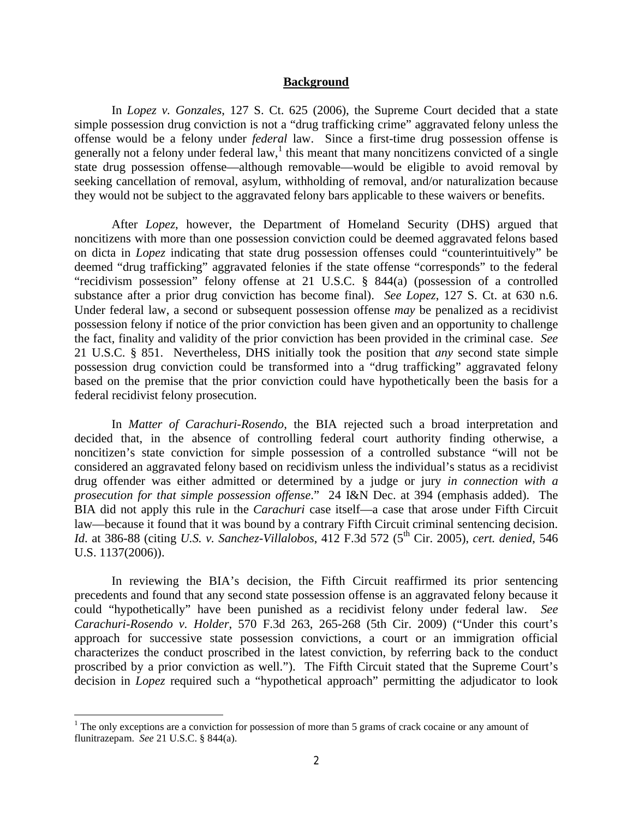#### **Background**

In *Lopez v. Gonzales*, 127 S. Ct. 625 (2006), the Supreme Court decided that a state simple possession drug conviction is not a "drug trafficking crime" aggravated felony unless the offense would be a felony under *federal* law. Since a first-time drug possession offense is generally not a felony under federal law, $\frac{1}{1}$  this meant that many noncitizens convicted of a single state drug possession offense—although removable—would be eligible to avoid removal by seeking cancellation of removal, asylum, withholding of removal, and/or naturalization because they would not be subject to the aggravated felony bars applicable to these waivers or benefits.

After *Lopez*, however, the Department of Homeland Security (DHS) argued that noncitizens with more than one possession conviction could be deemed aggravated felons based on dicta in *Lopez* indicating that state drug possession offenses could "counterintuitively" be deemed "drug trafficking" aggravated felonies if the state offense "corresponds" to the federal "recidivism possession" felony offense at 21 U.S.C. § 844(a) (possession of a controlled substance after a prior drug conviction has become final). *See Lopez*, 127 S. Ct. at 630 n.6. Under federal law, a second or subsequent possession offense *may* be penalized as a recidivist possession felony if notice of the prior conviction has been given and an opportunity to challenge the fact, finality and validity of the prior conviction has been provided in the criminal case. *See* 21 U.S.C. § 851. Nevertheless, DHS initially took the position that *any* second state simple possession drug conviction could be transformed into a "drug trafficking" aggravated felony based on the premise that the prior conviction could have hypothetically been the basis for a federal recidivist felony prosecution.

In *Matter of Carachuri-Rosendo*, the BIA rejected such a broad interpretation and decided that, in the absence of controlling federal court authority finding otherwise, a noncitizen's state conviction for simple possession of a controlled substance "will not be considered an aggravated felony based on recidivism unless the individual's status as a recidivist drug offender was either admitted or determined by a judge or jury *in connection with a prosecution for that simple possession offense*." 24 I&N Dec. at 394 (emphasis added). The BIA did not apply this rule in the *Carachuri* case itself—a case that arose under Fifth Circuit law—because it found that it was bound by a contrary Fifth Circuit criminal sentencing decision. *Id.* at 386-88 (citing *U.S. v. Sanchez-Villalobos*, 412 F.3d 572 (5<sup>th</sup> Cir. 2005), *cert. denied*, 546 U.S. 1137(2006)).

In reviewing the BIA's decision, the Fifth Circuit reaffirmed its prior sentencing precedents and found that any second state possession offense is an aggravated felony because it could "hypothetically" have been punished as a recidivist felony under federal law. *See Carachuri-Rosendo v. Holder*, 570 F.3d 263, 265-268 (5th Cir. 2009) ("Under this court's approach for successive state possession convictions, a court or an immigration official characterizes the conduct proscribed in the latest conviction, by referring back to the conduct proscribed by a prior conviction as well."). The Fifth Circuit stated that the Supreme Court's decision in *Lopez* required such a "hypothetical approach" permitting the adjudicator to look

 $\overline{a}$ 

<sup>&</sup>lt;sup>1</sup> The only exceptions are a conviction for possession of more than 5 grams of crack cocaine or any amount of flunitrazepam. *See* 21 U.S.C. § 844(a).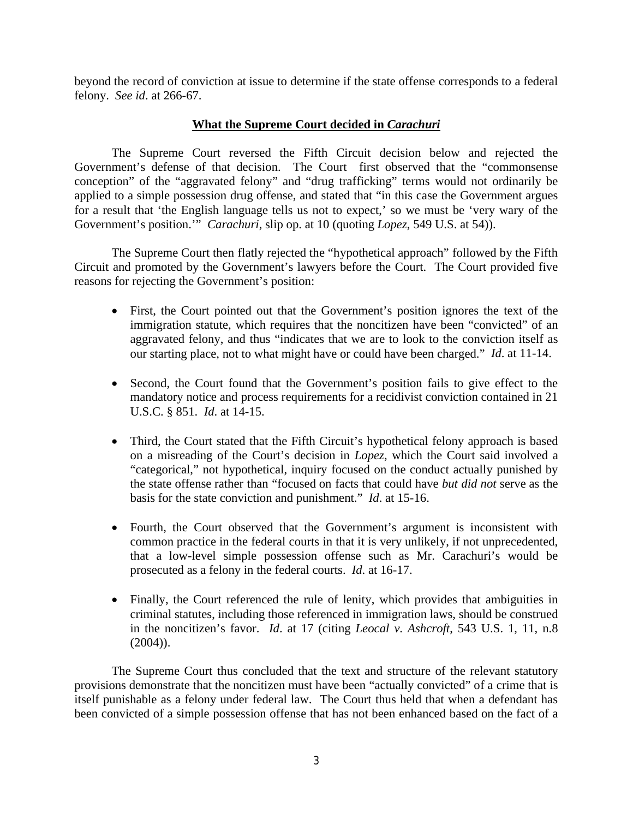beyond the record of conviction at issue to determine if the state offense corresponds to a federal felony. *See id*. at 266-67.

# **What the Supreme Court decided in** *Carachuri*

The Supreme Court reversed the Fifth Circuit decision below and rejected the Government's defense of that decision. The Court first observed that the "commonsense conception" of the "aggravated felony" and "drug trafficking" terms would not ordinarily be applied to a simple possession drug offense, and stated that "in this case the Government argues for a result that 'the English language tells us not to expect,' so we must be 'very wary of the Government's position.'" *Carachuri*, slip op. at 10 (quoting *Lopez*, 549 U.S. at 54)).

The Supreme Court then flatly rejected the "hypothetical approach" followed by the Fifth Circuit and promoted by the Government's lawyers before the Court. The Court provided five reasons for rejecting the Government's position:

- First, the Court pointed out that the Government's position ignores the text of the immigration statute, which requires that the noncitizen have been "convicted" of an aggravated felony, and thus "indicates that we are to look to the conviction itself as our starting place, not to what might have or could have been charged." *Id*. at 11-14.
- Second, the Court found that the Government's position fails to give effect to the mandatory notice and process requirements for a recidivist conviction contained in 21 U.S.C. § 851. *Id*. at 14-15.
- Third, the Court stated that the Fifth Circuit's hypothetical felony approach is based on a misreading of the Court's decision in *Lopez*, which the Court said involved a "categorical," not hypothetical, inquiry focused on the conduct actually punished by the state offense rather than "focused on facts that could have *but did not* serve as the basis for the state conviction and punishment." *Id*. at 15-16.
- Fourth, the Court observed that the Government's argument is inconsistent with common practice in the federal courts in that it is very unlikely, if not unprecedented, that a low-level simple possession offense such as Mr. Carachuri's would be prosecuted as a felony in the federal courts. *Id*. at 16-17.
- Finally, the Court referenced the rule of lenity, which provides that ambiguities in criminal statutes, including those referenced in immigration laws, should be construed in the noncitizen's favor. *Id*. at 17 (citing *Leocal v. Ashcroft*, 543 U.S. 1, 11, n.8  $(2004)$ ).

The Supreme Court thus concluded that the text and structure of the relevant statutory provisions demonstrate that the noncitizen must have been "actually convicted" of a crime that is itself punishable as a felony under federal law. The Court thus held that when a defendant has been convicted of a simple possession offense that has not been enhanced based on the fact of a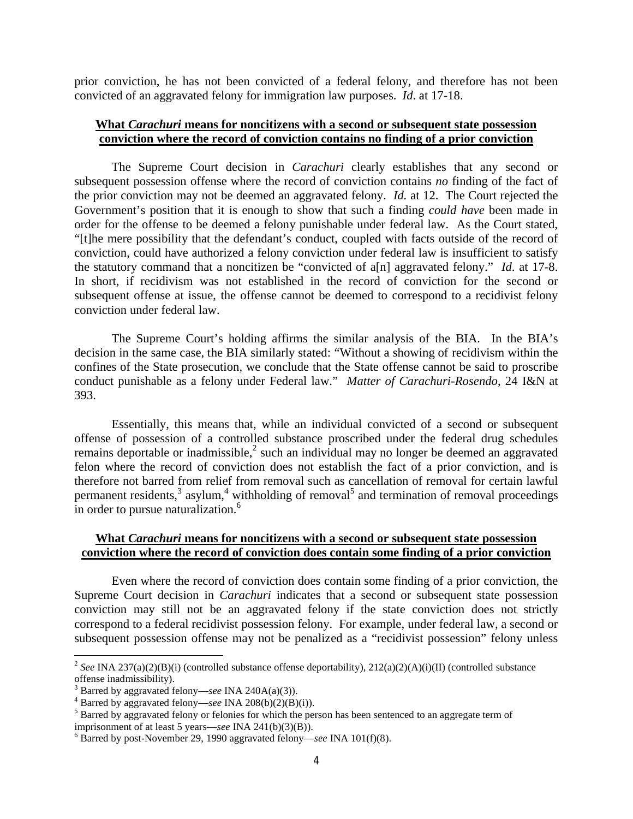prior conviction, he has not been convicted of a federal felony, and therefore has not been convicted of an aggravated felony for immigration law purposes. *Id*. at 17-18.

### **What** *Carachuri* **means for noncitizens with a second or subsequent state possession conviction where the record of conviction contains no finding of a prior conviction**

The Supreme Court decision in *Carachuri* clearly establishes that any second or subsequent possession offense where the record of conviction contains *no* finding of the fact of the prior conviction may not be deemed an aggravated felony. *Id.* at 12. The Court rejected the Government's position that it is enough to show that such a finding *could have* been made in order for the offense to be deemed a felony punishable under federal law. As the Court stated, "[t]he mere possibility that the defendant's conduct, coupled with facts outside of the record of conviction, could have authorized a felony conviction under federal law is insufficient to satisfy the statutory command that a noncitizen be "convicted of a[n] aggravated felony." *Id*. at 17-8. In short, if recidivism was not established in the record of conviction for the second or subsequent offense at issue, the offense cannot be deemed to correspond to a recidivist felony conviction under federal law.

The Supreme Court's holding affirms the similar analysis of the BIA. In the BIA's decision in the same case, the BIA similarly stated: "Without a showing of recidivism within the confines of the State prosecution, we conclude that the State offense cannot be said to proscribe conduct punishable as a felony under Federal law." *Matter of Carachuri-Rosendo*, 24 I&N at 393.

Essentially, this means that, while an individual convicted of a second or subsequent offense of possession of a controlled substance proscribed under the federal drug schedules remains deportable or inadmissible,<sup>2</sup> such an individual may no longer be deemed an aggravated felon where the record of conviction does not establish the fact of a prior conviction, and is therefore not barred from relief from removal such as cancellation of removal for certain lawful permanent residents, $3$  asylum, $4$  withholding of removal<sup>5</sup> and termination of removal proceedings in order to pursue naturalization.<sup>6</sup>

### **What** *Carachuri* **means for noncitizens with a second or subsequent state possession conviction where the record of conviction does contain some finding of a prior conviction**

Even where the record of conviction does contain some finding of a prior conviction, the Supreme Court decision in *Carachuri* indicates that a second or subsequent state possession conviction may still not be an aggravated felony if the state conviction does not strictly correspond to a federal recidivist possession felony. For example, under federal law, a second or subsequent possession offense may not be penalized as a "recidivist possession" felony unless

 $\overline{a}$ 

<sup>&</sup>lt;sup>2</sup> *See* INA 237(a)(2)(B)(i) (controlled substance offense deportability),  $212(a)(2)(A)(i)(II)$  (controlled substance offense inadmissibility).<br><sup>3</sup> Barred by aggravated felony—see INA 240A(a)(3)).

<sup>&</sup>lt;sup>4</sup> Barred by aggravated felony—see INA 208(b)(2)(B)(i)).<br><sup>5</sup> Barred by aggravated felony or felonies for which the person has been sentenced to an aggregate term of imprisonment of at least 5 years—see INA 241(b)(3)(B)).

 $\delta$  Barred by post-November 29, 1990 aggravated felony—*see* INA 101(f)(8).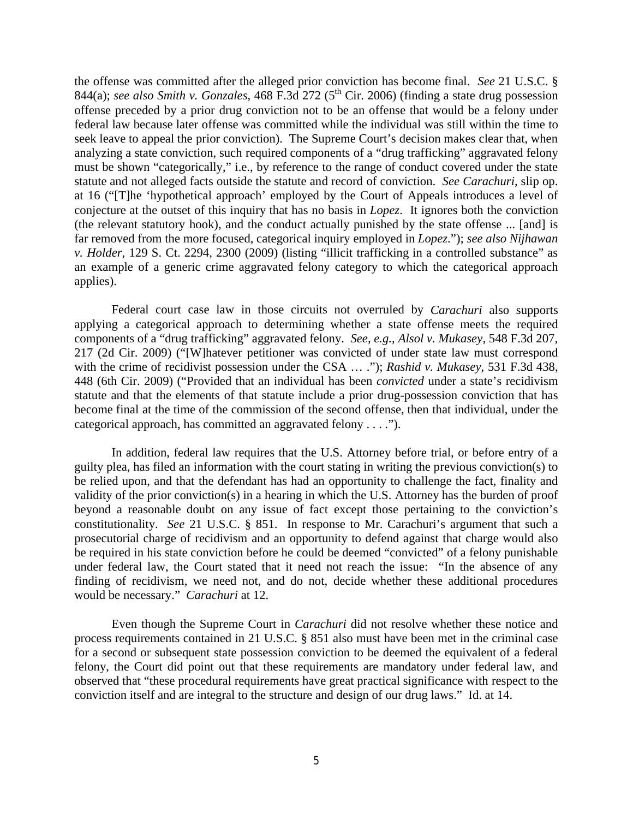the offense was committed after the alleged prior conviction has become final. *See* 21 U.S.C. § 844(a); *see also Smith v. Gonzales*, 468 F.3d 272 (5<sup>th</sup> Cir. 2006) (finding a state drug possession offense preceded by a prior drug conviction not to be an offense that would be a felony under federal law because later offense was committed while the individual was still within the time to seek leave to appeal the prior conviction). The Supreme Court's decision makes clear that, when analyzing a state conviction, such required components of a "drug trafficking" aggravated felony must be shown "categorically," i.e., by reference to the range of conduct covered under the state statute and not alleged facts outside the statute and record of conviction. *See Carachuri*, slip op. at 16 ("[T]he 'hypothetical approach' employed by the Court of Appeals introduces a level of conjecture at the outset of this inquiry that has no basis in *Lopez*. It ignores both the conviction (the relevant statutory hook), and the conduct actually punished by the state offense ... [and] is far removed from the more focused, categorical inquiry employed in *Lopez*."); *see also Nijhawan v. Holder*, 129 S. Ct. 2294, 2300 (2009) (listing "illicit trafficking in a controlled substance" as an example of a generic crime aggravated felony category to which the categorical approach applies).

Federal court case law in those circuits not overruled by *Carachuri* also supports applying a categorical approach to determining whether a state offense meets the required components of a "drug trafficking" aggravated felony. *See, e.g., Alsol v. Mukasey*, 548 F.3d 207, 217 (2d Cir. 2009) ("[W]hatever petitioner was convicted of under state law must correspond with the crime of recidivist possession under the CSA … ."); *Rashid v. Mukasey*, 531 F.3d 438, 448 (6th Cir. 2009) ("Provided that an individual has been *convicted* under a state's recidivism statute and that the elements of that statute include a prior drug-possession conviction that has become final at the time of the commission of the second offense, then that individual, under the categorical approach, has committed an aggravated felony . . . .").

In addition, federal law requires that the U.S. Attorney before trial, or before entry of a guilty plea, has filed an information with the court stating in writing the previous conviction(s) to be relied upon, and that the defendant has had an opportunity to challenge the fact, finality and validity of the prior conviction(s) in a hearing in which the U.S. Attorney has the burden of proof beyond a reasonable doubt on any issue of fact except those pertaining to the conviction's constitutionality. *See* 21 U.S.C. § 851. In response to Mr. Carachuri's argument that such a prosecutorial charge of recidivism and an opportunity to defend against that charge would also be required in his state conviction before he could be deemed "convicted" of a felony punishable under federal law, the Court stated that it need not reach the issue: "In the absence of any finding of recidivism, we need not, and do not, decide whether these additional procedures would be necessary." *Carachuri* at 12.

Even though the Supreme Court in *Carachuri* did not resolve whether these notice and process requirements contained in 21 U.S.C. § 851 also must have been met in the criminal case for a second or subsequent state possession conviction to be deemed the equivalent of a federal felony, the Court did point out that these requirements are mandatory under federal law, and observed that "these procedural requirements have great practical significance with respect to the conviction itself and are integral to the structure and design of our drug laws." Id. at 14.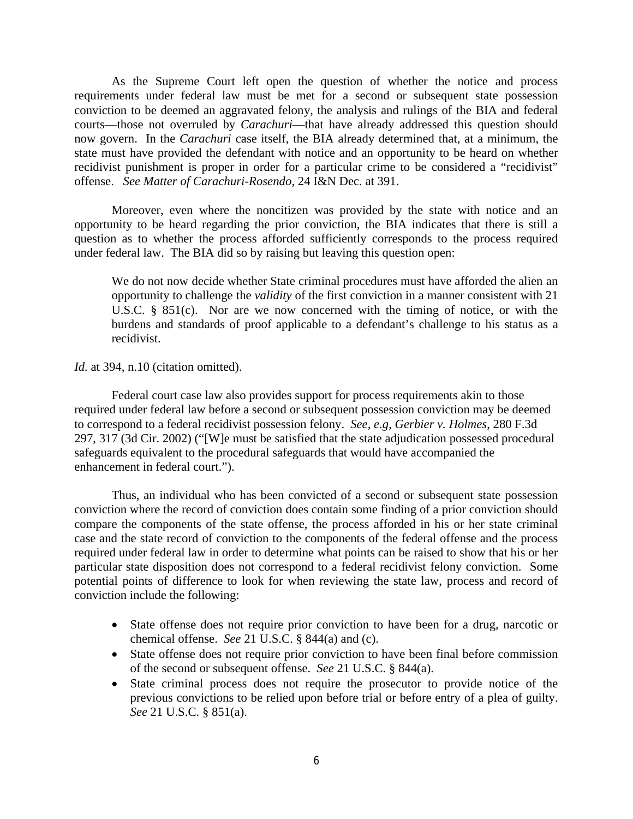As the Supreme Court left open the question of whether the notice and process requirements under federal law must be met for a second or subsequent state possession conviction to be deemed an aggravated felony, the analysis and rulings of the BIA and federal courts—those not overruled by *Carachuri*—that have already addressed this question should now govern. In the *Carachuri* case itself, the BIA already determined that, at a minimum, the state must have provided the defendant with notice and an opportunity to be heard on whether recidivist punishment is proper in order for a particular crime to be considered a "recidivist" offense. *See Matter of Carachuri-Rosendo*, 24 I&N Dec. at 391.

Moreover, even where the noncitizen was provided by the state with notice and an opportunity to be heard regarding the prior conviction, the BIA indicates that there is still a question as to whether the process afforded sufficiently corresponds to the process required under federal law. The BIA did so by raising but leaving this question open:

We do not now decide whether State criminal procedures must have afforded the alien an opportunity to challenge the *validity* of the first conviction in a manner consistent with 21 U.S.C. § 851(c). Nor are we now concerned with the timing of notice, or with the burdens and standards of proof applicable to a defendant's challenge to his status as a recidivist.

*Id.* at 394, n.10 (citation omitted).

Federal court case law also provides support for process requirements akin to those required under federal law before a second or subsequent possession conviction may be deemed to correspond to a federal recidivist possession felony. *See, e.g, Gerbier v. Holmes*, 280 F.3d 297, 317 (3d Cir. 2002) ("[W]e must be satisfied that the state adjudication possessed procedural safeguards equivalent to the procedural safeguards that would have accompanied the enhancement in federal court.").

Thus, an individual who has been convicted of a second or subsequent state possession conviction where the record of conviction does contain some finding of a prior conviction should compare the components of the state offense, the process afforded in his or her state criminal case and the state record of conviction to the components of the federal offense and the process required under federal law in order to determine what points can be raised to show that his or her particular state disposition does not correspond to a federal recidivist felony conviction. Some potential points of difference to look for when reviewing the state law, process and record of conviction include the following:

- State offense does not require prior conviction to have been for a drug, narcotic or chemical offense. *See* 21 U.S.C. § 844(a) and (c).
- State offense does not require prior conviction to have been final before commission of the second or subsequent offense. *See* 21 U.S.C. § 844(a).
- State criminal process does not require the prosecutor to provide notice of the previous convictions to be relied upon before trial or before entry of a plea of guilty. *See* 21 U.S.C. § 851(a).